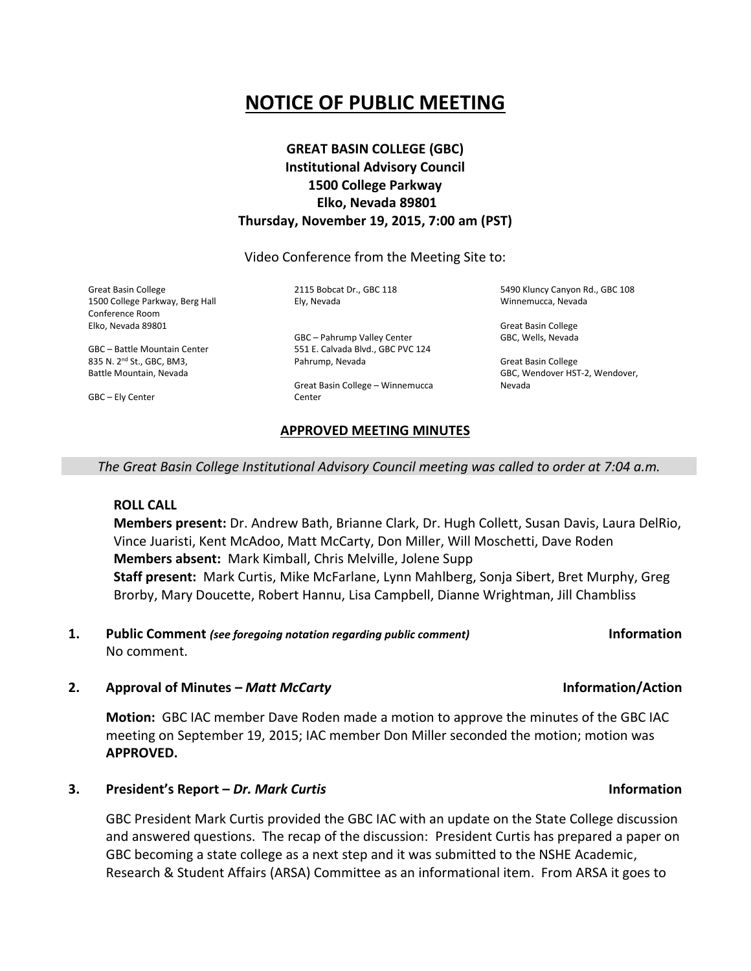# **NOTICE OF PUBLIC MEETING**

## **GREAT BASIN COLLEGE (GBC) Institutional Advisory Council 1500 College Parkway Elko, Nevada 89801 Thursday, November 19, 2015, 7:00 am (PST)**

Video Conference from the Meeting Site to:

Great Basin College 1500 College Parkway, Berg Hall Conference Room Elko, Nevada 89801

GBC – Battle Mountain Center 835 N. 2nd St., GBC, BM3, Battle Mountain, Nevada

GBC – Ely Center

2115 Bobcat Dr., GBC 118 Ely, Nevada

GBC – Pahrump Valley Center 551 E. Calvada Blvd., GBC PVC 124 Pahrump, Nevada

Great Basin College – Winnemucca **Center** 

## **APPROVED MEETING MINUTES**

5490 Kluncy Canyon Rd., GBC 108 Winnemucca, Nevada

Great Basin College GBC, Wells, Nevada

Great Basin College GBC, Wendover HST-2, Wendover, Nevada

*The Great Basin College Institutional Advisory Council meeting was called to order at 7:04 a.m.*

**ROLL CALL**

**Members present:** Dr. Andrew Bath, Brianne Clark, Dr. Hugh Collett, Susan Davis, Laura DelRio, Vince Juaristi, Kent McAdoo, Matt McCarty, Don Miller, Will Moschetti, Dave Roden **Members absent:** Mark Kimball, Chris Melville, Jolene Supp **Staff present:** Mark Curtis, Mike McFarlane, Lynn Mahlberg, Sonja Sibert, Bret Murphy, Greg Brorby, Mary Doucette, Robert Hannu, Lisa Campbell, Dianne Wrightman, Jill Chambliss

**1. Public Comment** *(see foregoing notation regarding public comment)* **Information** No comment.

## **2. Approval of Minutes –** *Matt McCarty* **Information/Action**

**Motion:** GBC IAC member Dave Roden made a motion to approve the minutes of the GBC IAC meeting on September 19, 2015; IAC member Don Miller seconded the motion; motion was **APPROVED.**

## **3. President's Report –** *Dr. Mark Curtis* **Information**

GBC President Mark Curtis provided the GBC IAC with an update on the State College discussion and answered questions. The recap of the discussion: President Curtis has prepared a paper on GBC becoming a state college as a next step and it was submitted to the NSHE Academic, Research & Student Affairs (ARSA) Committee as an informational item. From ARSA it goes to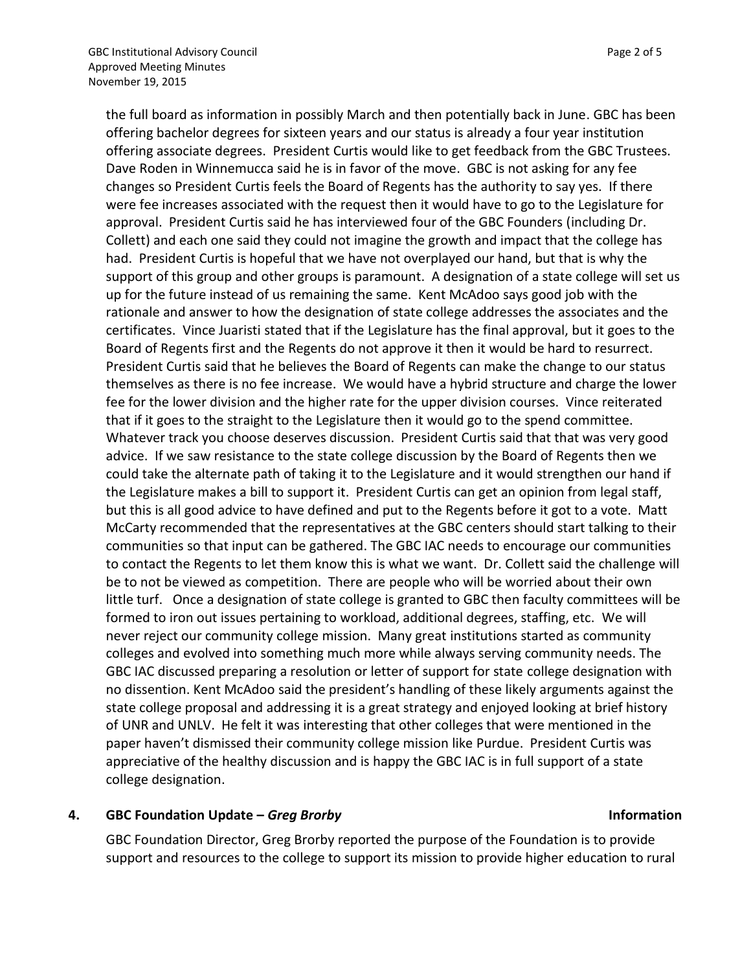the full board as information in possibly March and then potentially back in June. GBC has been offering bachelor degrees for sixteen years and our status is already a four year institution offering associate degrees. President Curtis would like to get feedback from the GBC Trustees. Dave Roden in Winnemucca said he is in favor of the move. GBC is not asking for any fee changes so President Curtis feels the Board of Regents has the authority to say yes. If there were fee increases associated with the request then it would have to go to the Legislature for approval. President Curtis said he has interviewed four of the GBC Founders (including Dr. Collett) and each one said they could not imagine the growth and impact that the college has had. President Curtis is hopeful that we have not overplayed our hand, but that is why the support of this group and other groups is paramount. A designation of a state college will set us up for the future instead of us remaining the same. Kent McAdoo says good job with the rationale and answer to how the designation of state college addresses the associates and the certificates. Vince Juaristi stated that if the Legislature has the final approval, but it goes to the Board of Regents first and the Regents do not approve it then it would be hard to resurrect. President Curtis said that he believes the Board of Regents can make the change to our status themselves as there is no fee increase. We would have a hybrid structure and charge the lower fee for the lower division and the higher rate for the upper division courses. Vince reiterated that if it goes to the straight to the Legislature then it would go to the spend committee. Whatever track you choose deserves discussion. President Curtis said that that was very good advice. If we saw resistance to the state college discussion by the Board of Regents then we could take the alternate path of taking it to the Legislature and it would strengthen our hand if the Legislature makes a bill to support it. President Curtis can get an opinion from legal staff, but this is all good advice to have defined and put to the Regents before it got to a vote. Matt McCarty recommended that the representatives at the GBC centers should start talking to their communities so that input can be gathered. The GBC IAC needs to encourage our communities to contact the Regents to let them know this is what we want. Dr. Collett said the challenge will be to not be viewed as competition. There are people who will be worried about their own little turf. Once a designation of state college is granted to GBC then faculty committees will be formed to iron out issues pertaining to workload, additional degrees, staffing, etc. We will never reject our community college mission. Many great institutions started as community colleges and evolved into something much more while always serving community needs. The GBC IAC discussed preparing a resolution or letter of support for state college designation with no dissention. Kent McAdoo said the president's handling of these likely arguments against the state college proposal and addressing it is a great strategy and enjoyed looking at brief history of UNR and UNLV. He felt it was interesting that other colleges that were mentioned in the paper haven't dismissed their community college mission like Purdue. President Curtis was appreciative of the healthy discussion and is happy the GBC IAC is in full support of a state college designation.

## **4. GBC Foundation Update –** *Greg Brorby* **Information**

GBC Foundation Director, Greg Brorby reported the purpose of the Foundation is to provide support and resources to the college to support its mission to provide higher education to rural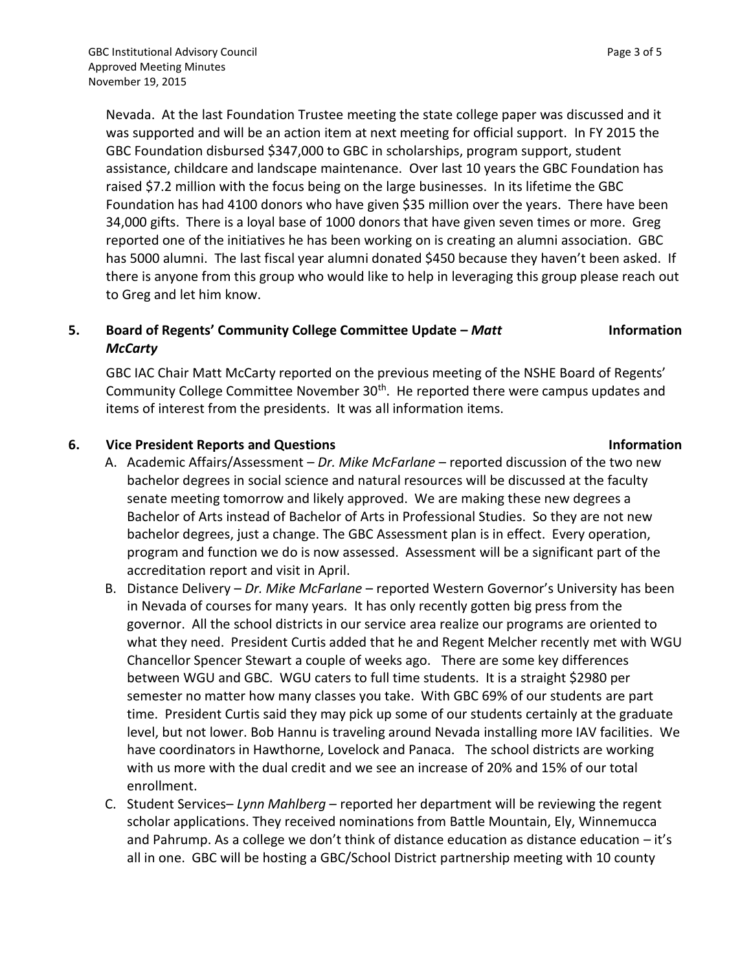Nevada. At the last Foundation Trustee meeting the state college paper was discussed and it was supported and will be an action item at next meeting for official support. In FY 2015 the GBC Foundation disbursed \$347,000 to GBC in scholarships, program support, student assistance, childcare and landscape maintenance. Over last 10 years the GBC Foundation has raised \$7.2 million with the focus being on the large businesses. In its lifetime the GBC Foundation has had 4100 donors who have given \$35 million over the years. There have been 34,000 gifts. There is a loyal base of 1000 donors that have given seven times or more. Greg reported one of the initiatives he has been working on is creating an alumni association. GBC has 5000 alumni. The last fiscal year alumni donated \$450 because they haven't been asked. If there is anyone from this group who would like to help in leveraging this group please reach out to Greg and let him know.

## **5. Board of Regents' Community College Committee Update –** *Matt McCarty* **Information**

GBC IAC Chair Matt McCarty reported on the previous meeting of the NSHE Board of Regents' Community College Committee November 30<sup>th</sup>. He reported there were campus updates and items of interest from the presidents. It was all information items.

## **6. Vice President Reports and Questions Information**

- A. Academic Affairs/Assessment *Dr. Mike McFarlane* reported discussion of the two new bachelor degrees in social science and natural resources will be discussed at the faculty senate meeting tomorrow and likely approved. We are making these new degrees a Bachelor of Arts instead of Bachelor of Arts in Professional Studies. So they are not new bachelor degrees, just a change. The GBC Assessment plan is in effect. Every operation, program and function we do is now assessed. Assessment will be a significant part of the accreditation report and visit in April.
- B. Distance Delivery *Dr. Mike McFarlane* reported Western Governor's University has been in Nevada of courses for many years. It has only recently gotten big press from the governor. All the school districts in our service area realize our programs are oriented to what they need. President Curtis added that he and Regent Melcher recently met with WGU Chancellor Spencer Stewart a couple of weeks ago. There are some key differences between WGU and GBC. WGU caters to full time students. It is a straight \$2980 per semester no matter how many classes you take. With GBC 69% of our students are part time. President Curtis said they may pick up some of our students certainly at the graduate level, but not lower. Bob Hannu is traveling around Nevada installing more IAV facilities. We have coordinators in Hawthorne, Lovelock and Panaca. The school districts are working with us more with the dual credit and we see an increase of 20% and 15% of our total enrollment.
- C. Student Services– *Lynn Mahlberg* reported her department will be reviewing the regent scholar applications. They received nominations from Battle Mountain, Ely, Winnemucca and Pahrump. As a college we don't think of distance education as distance education – it's all in one. GBC will be hosting a GBC/School District partnership meeting with 10 county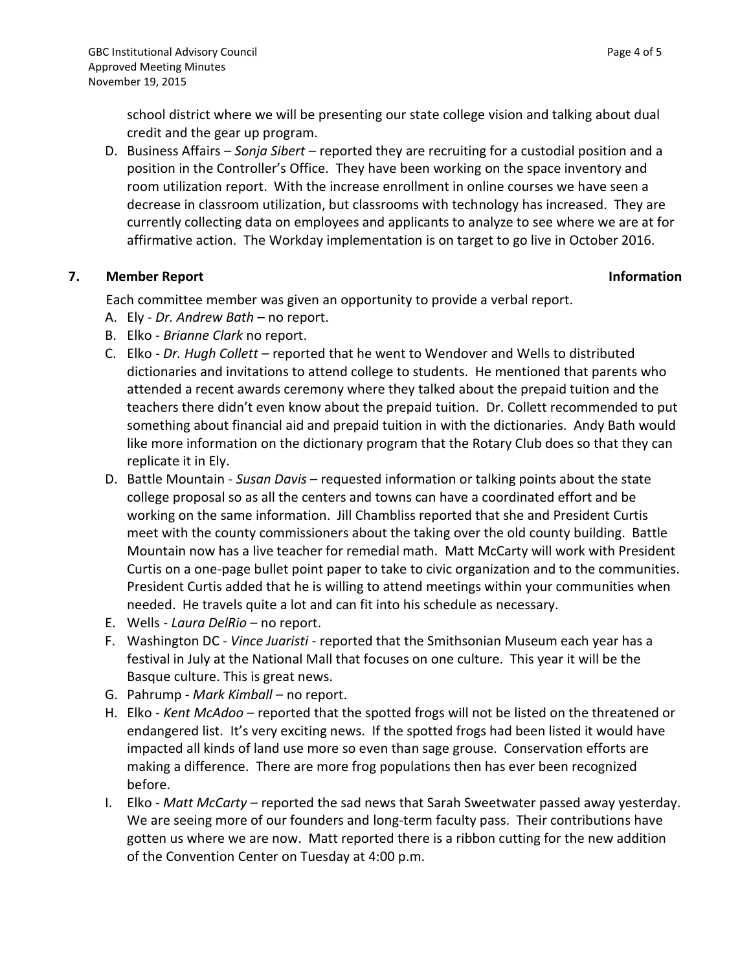school district where we will be presenting our state college vision and talking about dual credit and the gear up program.

D. Business Affairs – *Sonja Sibert* – reported they are recruiting for a custodial position and a position in the Controller's Office. They have been working on the space inventory and room utilization report. With the increase enrollment in online courses we have seen a decrease in classroom utilization, but classrooms with technology has increased. They are currently collecting data on employees and applicants to analyze to see where we are at for affirmative action. The Workday implementation is on target to go live in October 2016.

## **7. Member Report Information**

Each committee member was given an opportunity to provide a verbal report.

- A. Ely *Dr. Andrew Bath* no report.
- B. Elko *Brianne Clark* no report.
- C. Elko *Dr. Hugh Collett* reported that he went to Wendover and Wells to distributed dictionaries and invitations to attend college to students. He mentioned that parents who attended a recent awards ceremony where they talked about the prepaid tuition and the teachers there didn't even know about the prepaid tuition. Dr. Collett recommended to put something about financial aid and prepaid tuition in with the dictionaries. Andy Bath would like more information on the dictionary program that the Rotary Club does so that they can replicate it in Ely.
- D. Battle Mountain *Susan Davis* requested information or talking points about the state college proposal so as all the centers and towns can have a coordinated effort and be working on the same information. Jill Chambliss reported that she and President Curtis meet with the county commissioners about the taking over the old county building. Battle Mountain now has a live teacher for remedial math. Matt McCarty will work with President Curtis on a one-page bullet point paper to take to civic organization and to the communities. President Curtis added that he is willing to attend meetings within your communities when needed. He travels quite a lot and can fit into his schedule as necessary.
- E. Wells *Laura DelRio* no report.
- F. Washington DC *Vince Juaristi* reported that the Smithsonian Museum each year has a festival in July at the National Mall that focuses on one culture. This year it will be the Basque culture. This is great news.
- G. Pahrump *Mark Kimball* no report.
- H. Elko *Kent McAdoo* reported that the spotted frogs will not be listed on the threatened or endangered list. It's very exciting news. If the spotted frogs had been listed it would have impacted all kinds of land use more so even than sage grouse. Conservation efforts are making a difference. There are more frog populations then has ever been recognized before.
- I. Elko *Matt McCarty* reported the sad news that Sarah Sweetwater passed away yesterday. We are seeing more of our founders and long-term faculty pass. Their contributions have gotten us where we are now. Matt reported there is a ribbon cutting for the new addition of the Convention Center on Tuesday at 4:00 p.m.